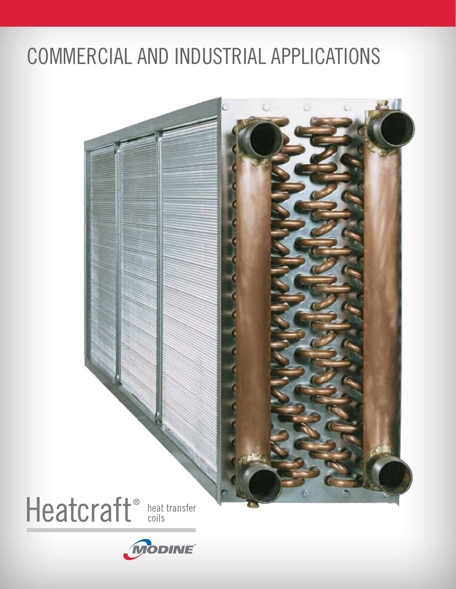# Commercial and Industrial Applications

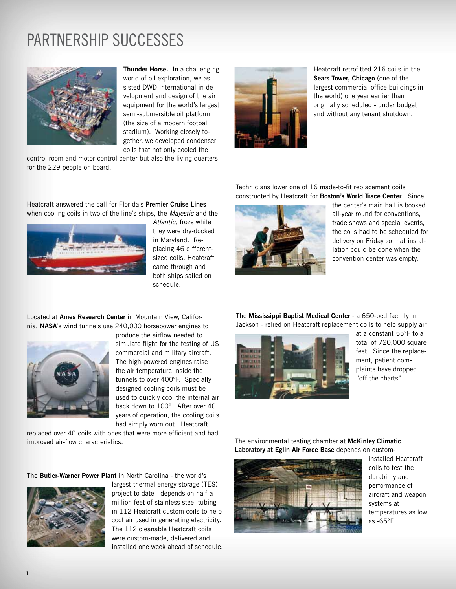## Partnership Successes



Thunder Horse. In a challenging world of oil exploration, we assisted DWD International in development and design of the air equipment for the world's largest semi-submersible oil platform (the size of a modern football stadium). Working closely together, we developed condenser coils that not only cooled the

control room and motor control center but also the living quarters for the 229 people on board.

Heatcraft answered the call for Florida's Premier Cruise Lines when cooling coils in two of the line's ships, the *Majestic* and the



*Atlantic*, froze while they were dry-docked in Maryland. Replacing 46 differentsized coils, Heatcraft came through and both ships sailed on schedule.

Located at Ames Research Center in Mountain View, California, NASA's wind tunnels use 240,000 horsepower engines to



produce the airflow needed to simulate flight for the testing of US commercial and military aircraft. The high-powered engines raise the air temperature inside the tunnels to over 400°F. Specially designed cooling coils must be used to quickly cool the internal air back down to 100°. After over 40 years of operation, the cooling coils had simply worn out. Heatcraft

replaced over 40 coils with ones that were more efficient and had improved air-flow characteristics.

The Butler-Warner Power Plant in North Carolina - the world's



largest thermal energy storage (TES) project to date - depends on half-amillion feet of stainless steel tubing in 112 Heatcraft custom coils to help cool air used in generating electricity. The 112 cleanable Heatcraft coils were custom-made, delivered and installed one week ahead of schedule.



Heatcraft retrofitted 216 coils in the Sears Tower, Chicago (one of the largest commercial office buildings in the world) one year earlier than originally scheduled - under budget and without any tenant shutdown.

Technicians lower one of 16 made-to-fit replacement coils constructed by Heatcraft for Boston's World Trace Center. Since



the center's main hall is booked all-year round for conventions, trade shows and special events, the coils had to be scheduled for delivery on Friday so that installation could be done when the convention center was empty.

The Mississippi Baptist Medical Center - a 650-bed facility in Jackson - relied on Heatcraft replacement coils to help supply air



at a constant 55°F to a total of 720,000 square feet. Since the replacement, patient complaints have dropped "off the charts".

The environmental testing chamber at McKinley Climatic Laboratory at Eglin Air Force Base depends on custom-



installed Heatcraft coils to test the durability and performance of aircraft and weapon systems at temperatures as low as -65°F.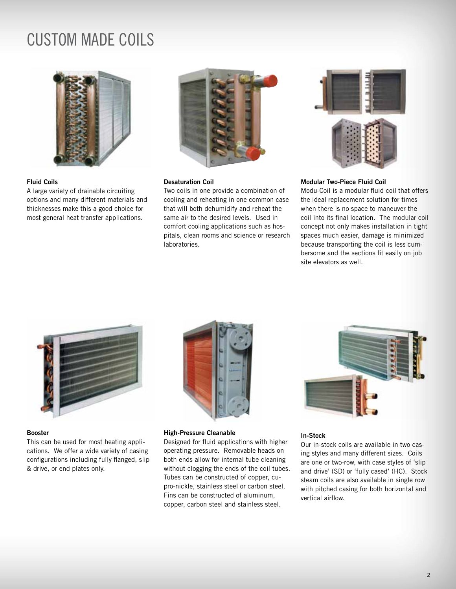### Custom made coils



#### Fluid Coils

A large variety of drainable circuiting options and many different materials and thicknesses make this a good choice for most general heat transfer applications.



#### Desaturation Coil

Two coils in one provide a combination of cooling and reheating in one common case that will both dehumidify and reheat the same air to the desired levels. Used in comfort cooling applications such as hospitals, clean rooms and science or research laboratories.



#### Modular Two-Piece Fluid Coil

Modu-Coil is a modular fluid coil that offers the ideal replacement solution for times when there is no space to maneuver the coil into its final location. The modular coil concept not only makes installation in tight spaces much easier, damage is minimized because transporting the coil is less cumbersome and the sections fit easily on job site elevators as well.



#### Booster

This can be used for most heating applications. We offer a wide variety of casing configurations including fully flanged, slip & drive, or end plates only.



#### High-Pressure Cleanable

Designed for fluid applications with higher operating pressure. Removable heads on both ends allow for internal tube cleaning without clogging the ends of the coil tubes. Tubes can be constructed of copper, cupro-nickle, stainless steel or carbon steel. Fins can be constructed of aluminum, copper, carbon steel and stainless steel.



#### In-Stock

Our in-stock coils are available in two casing styles and many different sizes. Coils are one or two-row, with case styles of 'slip and drive' (SD) or 'fully cased' (HC). Stock steam coils are also available in single row with pitched casing for both horizontal and vertical airflow.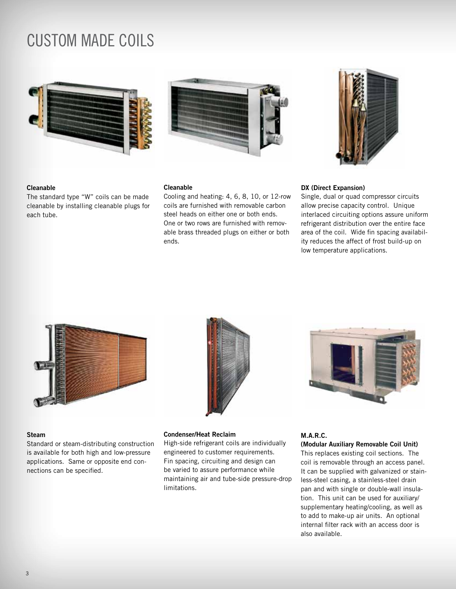### Custom made coils





#### Cleanable

The standard type "W" coils can be made cleanable by installing cleanable plugs for each tube.

#### Cleanable

Cooling and heating: 4, 6, 8, 10, or 12-row coils are furnished with removable carbon steel heads on either one or both ends. One or two rows are furnished with removable brass threaded plugs on either or both ends.

#### DX (Direct Expansion)

Single, dual or quad compressor circuits allow precise capacity control. Unique interlaced circuiting options assure uniform refrigerant distribution over the entire face area of the coil. Wide fin spacing availability reduces the affect of frost build-up on low temperature applications.



#### Steam

Standard or steam-distributing construction is available for both high and low-pressure applications. Same or opposite end connections can be specified.



#### Condenser/Heat Reclaim

High-side refrigerant coils are individually engineered to customer requirements. Fin spacing, circuiting and design can be varied to assure performance while maintaining air and tube-side pressure-drop limitations.



#### M.A.R.C.

(Modular Auxiliary Removable Coil Unit) This replaces existing coil sections. The coil is removable through an access panel. It can be supplied with galvanized or stainless-steel casing, a stainless-steel drain pan and with single or double-wall insulation. This unit can be used for auxiliary/ supplementary heating/cooling, as well as to add to make-up air units. An optional internal filter rack with an access door is also available.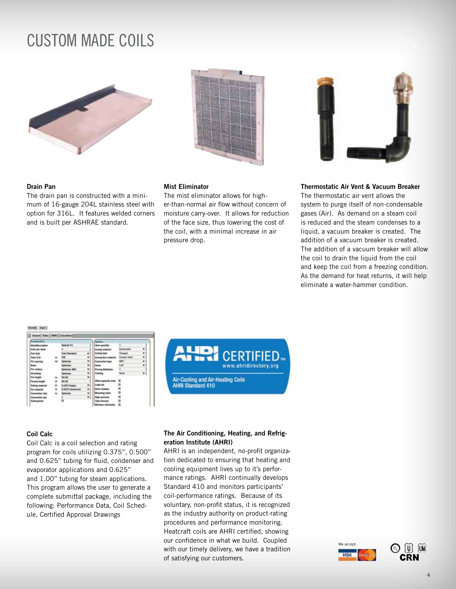### Custom made coils



#### Drain Pan

The drain pan is constructed with a minimum of 16-gauge 204L stainless steel with option for 316L. It features welded corners and is built per ASHRAE standard.



### Mist Eliminator

The mist eliminator allows for higher-than-normal air flow without concern of moisture carry-over. It allows for reduction of the face size, thus lowering the cost of the coil, with a minimal increase in air pressure drop.

#### Thermostatic Air Vent & Vacuum Breaker

The thermostatic air vent allows the system to purge itself of non-condensable gases (Air). As demand on a steam coil is reduced and the steam condenses to a liquid, a vacuum breaker is created. The addition of a vacuum breaker is created. The addition of a vacuum breaker will allow the coil to drain the liquid from the coil and keep the coil from a freezing condition. As the demand for heat returns, it will help eliminate a water-hammer condition.

#### **Auto** Real-

| <b>Construction</b>                     |   |                      |    | College                    |                                |    |
|-----------------------------------------|---|----------------------|----|----------------------------|--------------------------------|----|
| <b><i><u>bom/Description</u></i></b>    |   | <b>Default #1</b>    |    | <b>New quantity</b>        |                                |    |
| <b>Calls per bank</b>                   |   |                      |    | <b>Casing material</b>     | <b><i><u>Selection</u></i></b> | ۰  |
| Cash Multi-                             |   | <b>Cast Stendard</b> | ٠  | <b>Casing twee</b>         | Flangest                       | ٠  |
| <b>Tube G.S.</b>                        |   | w                    | ., | <b>Connection material</b> | <b>Earloan Steel</b>           | ۰  |
| File squaring                           | w | <b>Indiana</b>       | ٠  | <b>Connection haw</b>      | <b>MPT</b>                     | ٠  |
| <b>Base</b>                             |   | <b>Cap Giovinna</b>  | ٠  | <b>Hand</b>                | GW.                            | ٠  |
| <b>For surface</b>                      |   | <b>Detinine ABC</b>  | ٠  | <b>Fricing Multipler</b>   |                                |    |
| <b>Circleding</b>                       |   | Colimias             | ۳  | Enating                    | <b>None</b>                    | ¥) |
| Fin height                              |   | 36.00                | ٠  |                            |                                |    |
| <b>Figured length</b>                   |   | 65.05                |    | <b>Allue opposite ands</b> |                                |    |
| <b>Tubing meternik</b>                  |   | 0.020 Copper         | ٠  | Label Wit                  |                                |    |
| Fire muterial                           |   | 0.0075 Abuntinum     | ٠  | <b>Chair heates</b>        |                                |    |
| <b>Connection size</b>                  |   | <b>Dadimina</b>      | ٠  | Mounting heles             |                                |    |
| Convention sts                          |   |                      | ۰ı | <b>Migh pressure</b>       |                                |    |
| <b><i><u><u>Referencing</u></u></i></b> |   |                      |    | <b>Tuke females</b>        |                                |    |
|                                         |   |                      |    | Mutature plintetador       |                                |    |



#### Coil Calc

Coil Calc is a coil selection and rating program for coils utilizing 0.375", 0.500" and 0.625" tubing for fluid, condenser and evaporator applications and 0.625" and 1.00" tubing for steam applications. This program allows the user to generate a complete submittal package, including the following: Performance Data, Coil Schedule, Certified Approval Drawings

#### The Air Conditioning, Heating, and Refrigeration Institute (AHRI)

AHRI is an independent, no-profit organization dedicated to ensuring that heating and cooling equipment lives up to it's performance ratings. AHRI continually develops Standard 410 and monitors participants' coil-performance ratings. Because of its voluntary, non-profit status, it is recognized as the industry authority on product-rating procedures and performance monitoring. Heatcraft coils are AHRI certified, showing our confidence in what we build. Coupled with our timely delivery, we have a tradition of satisfying our customers.